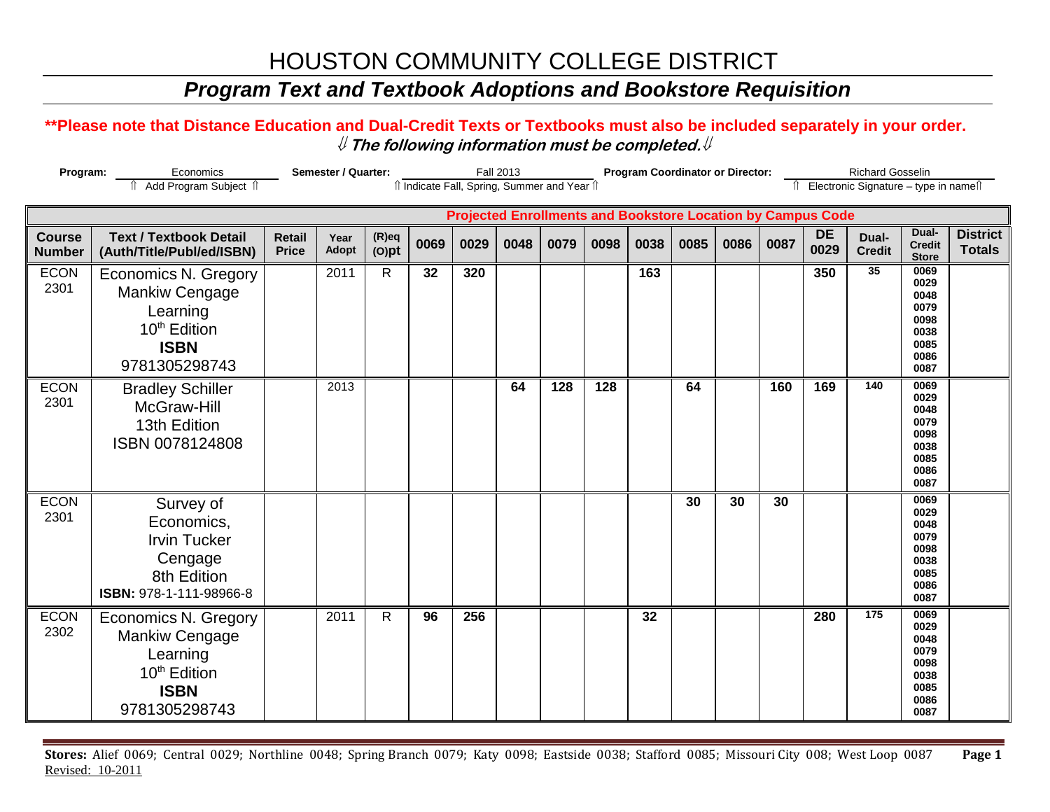# HOUSTON COMMUNITY COLLEGE DISTRICT

### *Program Text and Textbook Adoptions and Bookstore Requisition*

#### **\*\*Please note that Distance Education and Dual-Credit Texts or Textbooks must also be included separately in your order.**  ⇓ **The following information must be completed.**⇓

| Program:                       |                                                                                                                       | Semester / Quarter:           |               | <b>Fall 2013</b><br>îl Indicate Fall, Spring, Summer and Year îl |      |      |      |      | <b>Program Coordinator or Director:</b> |      |      |      |      | <b>Richard Gosselin</b><br>Electronic Signature - type in names |                        |                                                                      |                                  |
|--------------------------------|-----------------------------------------------------------------------------------------------------------------------|-------------------------------|---------------|------------------------------------------------------------------|------|------|------|------|-----------------------------------------|------|------|------|------|-----------------------------------------------------------------|------------------------|----------------------------------------------------------------------|----------------------------------|
|                                | <b>Projected Enrollments and Bookstore Location by Campus Code</b>                                                    |                               |               |                                                                  |      |      |      |      |                                         |      |      |      |      |                                                                 |                        |                                                                      |                                  |
| <b>Course</b><br><b>Number</b> | <b>Text / Textbook Detail</b><br>(Auth/Title/Publ/ed/ISBN)                                                            | <b>Retail</b><br><b>Price</b> | Year<br>Adopt | $(R)$ eq<br>$(O)$ pt                                             | 0069 | 0029 | 0048 | 0079 | 0098                                    | 0038 | 0085 | 0086 | 0087 | <b>DE</b><br>0029                                               | Dual-<br><b>Credit</b> | Dual-<br><b>Credit</b><br><b>Store</b>                               | <b>District</b><br><b>Totals</b> |
| <b>ECON</b><br>2301            | <b>Economics N. Gregory</b><br>Mankiw Cengage<br>Learning<br>10 <sup>th</sup> Edition<br><b>ISBN</b><br>9781305298743 |                               | 2011          | $\mathsf{R}$                                                     | 32   | 320  |      |      |                                         | 163  |      |      |      | 350                                                             | 35                     | 0069<br>0029<br>0048<br>0079<br>0098<br>0038<br>0085<br>0086<br>0087 |                                  |
| <b>ECON</b><br>2301            | <b>Bradley Schiller</b><br>McGraw-Hill<br>13th Edition<br>ISBN 0078124808                                             |                               | 2013          |                                                                  |      |      | 64   | 128  | 128                                     |      | 64   |      | 160  | 169                                                             | $\overline{140}$       | 0069<br>0029<br>0048<br>0079<br>0098<br>0038<br>0085<br>0086<br>0087 |                                  |
| <b>ECON</b><br>2301            | Survey of<br>Economics,<br><b>Irvin Tucker</b><br>Cengage<br>8th Edition<br>ISBN: 978-1-111-98966-8                   |                               |               |                                                                  |      |      |      |      |                                         |      | 30   | 30   | 30   |                                                                 |                        | 0069<br>0029<br>0048<br>0079<br>0098<br>0038<br>0085<br>0086<br>0087 |                                  |
| <b>ECON</b><br>2302            | <b>Economics N. Gregory</b><br>Mankiw Cengage<br>Learning<br>10 <sup>th</sup> Edition<br><b>ISBN</b><br>9781305298743 |                               | 2011          | $\mathsf{R}$                                                     | 96   | 256  |      |      |                                         | 32   |      |      |      | 280                                                             | 175                    | 0069<br>0029<br>0048<br>0079<br>0098<br>0038<br>0085<br>0086<br>0087 |                                  |